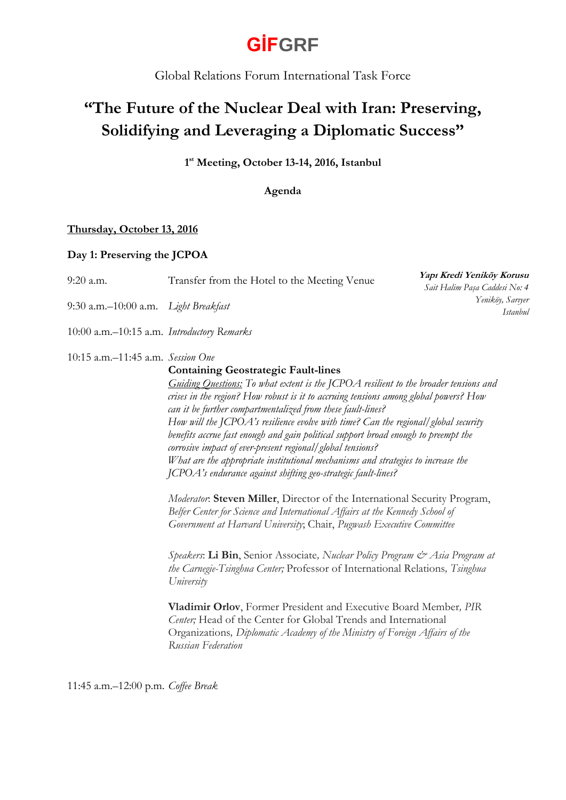Global Relations Forum International Task Force

### **"The Future of the Nuclear Deal with Iran: Preserving, Solidifying and Leveraging a Diplomatic Success"**

**1 st Meeting, October 13-14, 2016, Istanbul**

**Agenda**

### **Thursday, October 13, 2016**

### **Day 1: Preserving the JCPOA**

| $9:20$ a.m.                                | Transfer from the Hotel to the Meeting Venue                                                                                                                                                                                                                                                                                                                                                                                                                                                                                                                                                                                                                                                                                                                                                                                                                                                                                                                                                                                                                                                                                                                                                                                                                                                                                                           | Yapı Kredi Yeniköy Korusu<br>Sait Halim Paşa Caddesi No: 4 |
|--------------------------------------------|--------------------------------------------------------------------------------------------------------------------------------------------------------------------------------------------------------------------------------------------------------------------------------------------------------------------------------------------------------------------------------------------------------------------------------------------------------------------------------------------------------------------------------------------------------------------------------------------------------------------------------------------------------------------------------------------------------------------------------------------------------------------------------------------------------------------------------------------------------------------------------------------------------------------------------------------------------------------------------------------------------------------------------------------------------------------------------------------------------------------------------------------------------------------------------------------------------------------------------------------------------------------------------------------------------------------------------------------------------|------------------------------------------------------------|
| 9:30 a.m.-10:00 a.m. Light Breakfast       |                                                                                                                                                                                                                                                                                                                                                                                                                                                                                                                                                                                                                                                                                                                                                                                                                                                                                                                                                                                                                                                                                                                                                                                                                                                                                                                                                        | Yeniköy, Sartyer<br><i>Istanbul</i>                        |
| 10:00 a.m.-10:15 a.m. Introductory Remarks |                                                                                                                                                                                                                                                                                                                                                                                                                                                                                                                                                                                                                                                                                                                                                                                                                                                                                                                                                                                                                                                                                                                                                                                                                                                                                                                                                        |                                                            |
| 10:15 a.m.-11:45 a.m. Session One          | <b>Containing Geostrategic Fault-lines</b><br>Guiding Questions: To what extent is the JCPOA resilient to the broader tensions and<br>crises in the region? How robust is it to accruing tensions among global powers? How<br>can it be further compartmentalized from these fault-lines?<br>How will the JCPOA's resilience evolve with time? Can the regional/global security<br>benefits accrue fast enough and gain political support broad enough to preempt the<br>corrosive impact of ever-present regional/global tensions?<br>What are the appropriate institutional mechanisms and strategies to increase the<br>JCPOA's endurance against shifting geo-strategic fault-lines?<br>Moderator: Steven Miller, Director of the International Security Program,<br>Belfer Center for Science and International Affairs at the Kennedy School of<br>Government at Harvard University; Chair, Pugwash Executive Committee<br>Speakers: Li Bin, Senior Associate, Nuclear Policy Program & Asia Program at<br>the Carnegie-Tsinghua Center; Professor of International Relations, Tsinghua<br>University<br>Vladimir Orlov, Former President and Executive Board Member, PIR<br>Center; Head of the Center for Global Trends and International<br>Organizations, Diplomatic Academy of the Ministry of Foreign Affairs of the<br>Russian Federation |                                                            |

11:45 a.m.–12:00 p.m. *Coffee Break*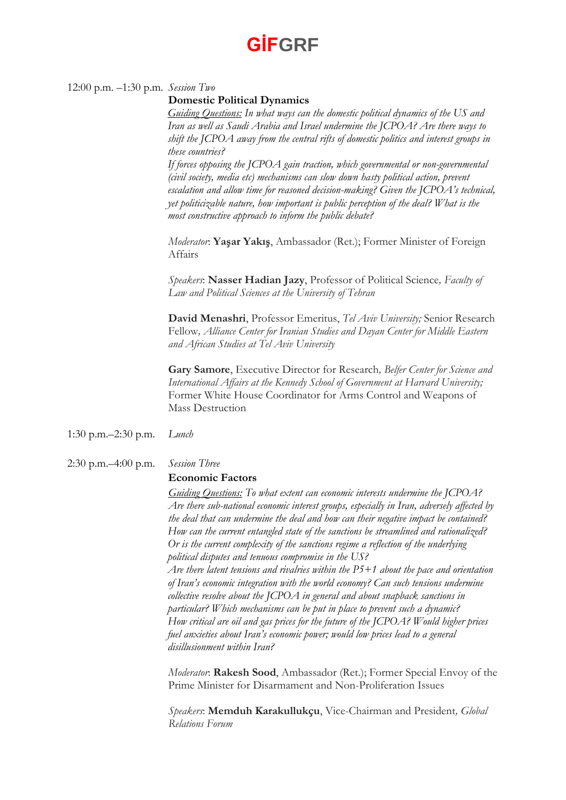### 12:00 p.m. –1:30 p.m. *Session Two*

#### **Domestic Political Dynamics**

*Guiding Questions: In what ways can the domestic political dynamics of the US and Iran as well as Saudi Arabia and Israel undermine the JCPOA? Are there ways to shift the JCPOA away from the central rifts of domestic politics and interest groups in these countries?* 

*If forces opposing the JCPOA gain traction, which governmental or non-governmental (civil society, media etc) mechanisms can slow down hasty political action, prevent escalation and allow time for reasoned decision-making? Given the JCPOA's technical, yet politicizable nature, how important is public perception of the deal? What is the most constructive approach to inform the public debate?* 

*Moderator*: **Yaşar Yakış**, Ambassador (Ret.); Former Minister of Foreign Affairs

*Speakers*: **Nasser Hadian Jazy**, Professor of Political Science*, Faculty of Law and Political Sciences at the University of Tehran*

**David Menashri**, Professor Emeritus, *Tel Aviv University;* Senior Research Fellow*, Alliance Center for Iranian Studies and Dayan Center for Middle Eastern and African Studies at Tel Aviv University*

**Gary Samore**, Executive Director for Research*, Belfer Center for Science and International Affairs at the Kennedy School of Government at Harvard University;*  Former White House Coordinator for Arms Control and Weapons of Mass Destruction

1:30 p.m.–2:30 p.m. *Lunch*

#### 2:30 p.m.–4:00 p.m. *Session Three*

### **Economic Factors**

*Guiding Questions: To what extent can economic interests undermine the JCPOA? Are there sub-national economic interest groups, especially in Iran, adversely affected by the deal that can undermine the deal and how can their negative impact be contained? How can the current entangled state of the sanctions be streamlined and rationalized? Or is the current complexity of the sanctions regime a reflection of the underlying political disputes and tenuous compromise in the US?* 

*Are there latent tensions and rivalries within the P5+1 about the pace and orientation of Iran's economic integration with the world economy? Can such tensions undermine collective resolve about the JCPOA in general and about snapback sanctions in particular? Which mechanisms can be put in place to prevent such a dynamic? How critical are oil and gas prices for the future of the JCPOA? Would higher prices fuel anxieties about Iran's economic power; would low prices lead to a general disillusionment within Iran?*

*Moderator*: **Rakesh Sood**, Ambassador (Ret.); Former Special Envoy of the Prime Minister for Disarmament and Non-Proliferation Issues

*Speakers*: **Memduh Karakullukçu**, Vice-Chairman and President*, Global Relations Forum*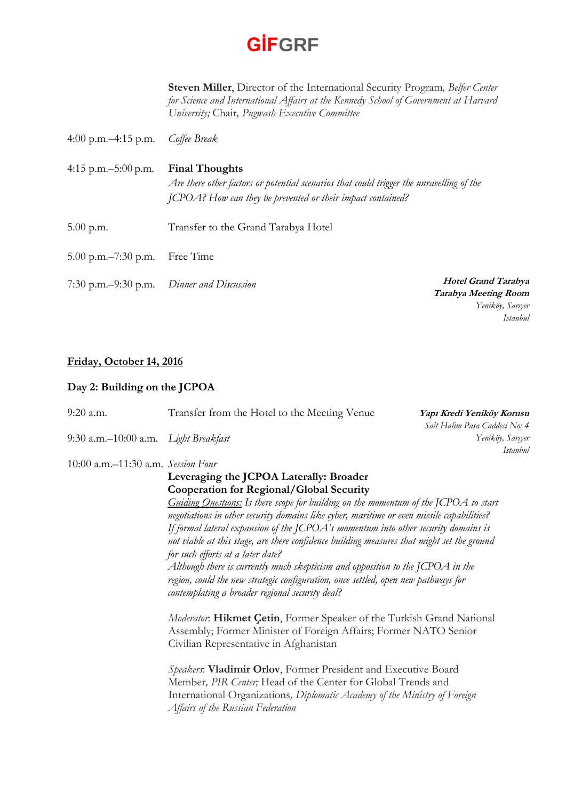**Steven Miller**, Director of the International Security Program*, Belfer Center for Science and International Affairs at the Kennedy School of Government at Harvard University;* Chair*, Pugwash Executive Committee*

- 4:00 p.m.–4:15 p.m. *Coffee Break*
- 4:15 p.m.–5:00 p.m. **Final Thoughts** *Are there other factors or potential scenarios that could trigger the unravelling of the JCPOA? How can they be prevented or their impact contained?*
- 5.00 p.m. Transfer to the Grand Tarabya Hotel
- 5.00 p.m.–7:30 p.m. Free Time
- 7:30 p.m.–9:30 p.m. *Dinner and Discussion*

**Hotel Grand Tarabya Tarabya Meeting Room** *Yeniköy, Sarıyer Istanbul*

### **Friday, October 14, 2016**

### **Day 2: Building on the JCPOA**

| $9:20$ a.m.                          | Transfer from the Hotel to the Meeting Venue                                                                                                                                                                                                                                                                                                                                                                                                                                                                                                                                                                                                                                                                                 | Yapı Kredi Yeniköy Korusu<br>Sait Halim Paşa Caddesi No: 4 |
|--------------------------------------|------------------------------------------------------------------------------------------------------------------------------------------------------------------------------------------------------------------------------------------------------------------------------------------------------------------------------------------------------------------------------------------------------------------------------------------------------------------------------------------------------------------------------------------------------------------------------------------------------------------------------------------------------------------------------------------------------------------------------|------------------------------------------------------------|
| 9:30 a.m.–10:00 a.m. Light Breakfast |                                                                                                                                                                                                                                                                                                                                                                                                                                                                                                                                                                                                                                                                                                                              | Yeniköy, Sartyer<br><i>Istanbul</i>                        |
| 10:00 a.m.-11:30 a.m. Session Four   |                                                                                                                                                                                                                                                                                                                                                                                                                                                                                                                                                                                                                                                                                                                              |                                                            |
|                                      | Leveraging the JCPOA Laterally: Broader<br>Cooperation for Regional/Global Security<br>Guiding Questions: Is there scope for building on the momentum of the JCPOA to start<br>negotiations in other security domains like cyber, maritime or even missile capabilities?<br>If formal lateral expansion of the JCPOA's momentum into other security domains is<br>not viable at this stage, are there confidence building measures that might set the ground<br>for such efforts at a later date?<br>Although there is currently much skepticism and opposition to the JCPOA in the<br>region, could the new strategic configuration, once settled, open new pathways for<br>contemplating a broader regional security deal? |                                                            |
|                                      | Moderator: Hikmet Çetin, Former Speaker of the Turkish Grand National<br>Assembly; Former Minister of Foreign Affairs; Former NATO Senior<br>Civilian Representative in Afghanistan<br>Speakers: Vladimir Orlov, Former President and Executive Board<br>Member, PIR Center; Head of the Center for Global Trends and<br>International Organizations, Diplomatic Academy of the Ministry of Foreign<br>Affairs of the Russian Federation                                                                                                                                                                                                                                                                                     |                                                            |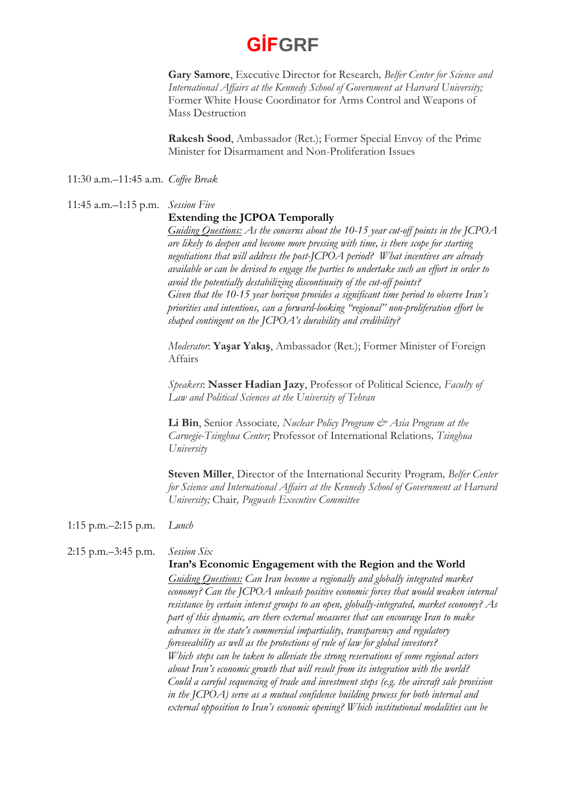**Gary Samore**, Executive Director for Research*, Belfer Center for Science and International Affairs at the Kennedy School of Government at Harvard University;*  Former White House Coordinator for Arms Control and Weapons of Mass Destruction

**Rakesh Sood**, Ambassador (Ret.); Former Special Envoy of the Prime Minister for Disarmament and Non-Proliferation Issues

11:30 a.m.–11:45 a.m. *Coffee Break*

#### 11:45 a.m.–1:15 p.m. *Session Five*

### **Extending the JCPOA Temporally**

*Guiding Questions: As the concerns about the 10-15 year cut-off points in the JCPOA are likely to deepen and become more pressing with time, is there scope for starting negotiations that will address the post-JCPOA period? What incentives are already available or can be devised to engage the parties to undertake such an effort in order to avoid the potentially destabilizing discontinuity of the cut-off points? Given that the 10-15 year horizon provides a significant time period to observe Iran's priorities and intentions, can a forward-looking "regional" non-proliferation effort be shaped contingent on the JCPOA's durability and credibility?*

*Moderator*: **Yaşar Yakış**, Ambassador (Ret.); Former Minister of Foreign Affairs

*Speakers*: **Nasser Hadian Jazy**, Professor of Political Science*, Faculty of Law and Political Sciences at the University of Tehran*

**Li Bin**, Senior Associate*, Nuclear Policy Program & Asia Program at the Carnegie-Tsinghua Center;* Professor of International Relations*, Tsinghua University*

**Steven Miller**, Director of the International Security Program*, Belfer Center for Science and International Affairs at the Kennedy School of Government at Harvard University;* Chair*, Pugwash Executive Committee*

1:15 p.m.–2:15 p.m. *Lunch*

### 2:15 p.m.–3:45 p.m. *Session Six*

#### **Iran's Economic Engagement with the Region and the World**

*Guiding Questions: Can Iran become a regionally and globally integrated market economy? Can the JCPOA unleash positive economic forces that would weaken internal resistance by certain interest groups to an open, globally-integrated, market economy? As part of this dynamic, are there external measures that can encourage Iran to make advances in the state's commercial impartiality, transparency and regulatory foreseeability as well as the protections of rule of law for global investors? Which steps can be taken to alleviate the strong reservations of some regional actors about Iran's economic growth that will result from its integration with the world? Could a careful sequencing of trade and investment steps (e.g. the aircraft sale provision in the JCPOA) serve as a mutual confidence building process for both internal and external opposition to Iran's economic opening? Which institutional modalities can be*